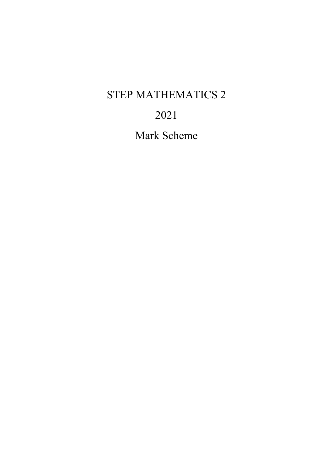## STEP MATHEMATICS 2

## 2021

Mark Scheme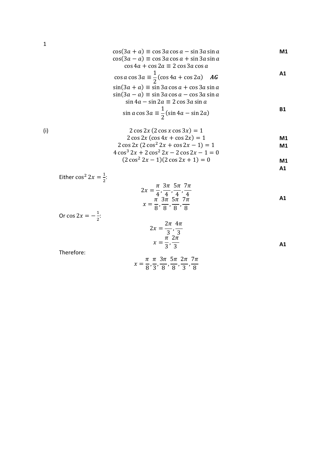$$
\cos(3a + a) \equiv \cos 3a \cos a - \sin 3a \sin a
$$
  
\n
$$
\cos(3a - a) \equiv \cos 3a \cos a + \sin 3a \sin a
$$
  
\n
$$
\cos 4a + \cos 2a \equiv 2 \cos 3a \cos a
$$
  
\n
$$
\cos a \cos 3a \equiv \frac{1}{2} (\cos 4a + \cos 2a) \quad \text{AG}
$$

$$
\sin(3a + a) \equiv \sin 3a \cos a + \cos 3a \sin a
$$
  
\n
$$
\sin(3a - a) \equiv \sin 3a \cos a - \cos 3a \sin a
$$
  
\n
$$
\sin 4a - \sin 2a \equiv 2 \cos 3a \sin a
$$

$$
\sin a \cos 3a \equiv \frac{1}{2} (\sin 4a - \sin 2a)
$$

(i)

$$
2 \cos 2x (2 \cos x \cos 3x) = 1
$$
  
2 cos 2x (cos 4x + cos 2x) = 1  
2 cos 2x (2 cos<sup>2</sup> 2x + cos 2x - 1) = 1  
M1

$$
4\cos^3 2x + 2\cos^2 2x - 2\cos 2x - 1 = 0
$$

$$
(2\cos^2 2x - 1)(2\cos 2x + 1) = 0
$$
 M1

**A1**

Either 
$$
\cos^2 2x = \frac{1}{2}
$$
:  
\n
$$
2x = \frac{\pi}{4}, \frac{3\pi}{4}, \frac{5\pi}{4}, \frac{7\pi}{4}
$$
\n
$$
x = \frac{\pi}{8}, \frac{3\pi}{8}, \frac{5\pi}{8}, \frac{7\pi}{8}
$$
\nOr  $\cos 2x = -\frac{1}{2}$ :

\n
$$
2\pi 4\pi
$$

$$
2x = \frac{2\pi}{3}, \frac{4\pi}{3}
$$
  

$$
x = \frac{\pi}{3}, \frac{2\pi}{3}
$$

Therefore:

$$
x = \frac{\pi}{8}, \frac{\pi}{3}, \frac{3\pi}{8}, \frac{5\pi}{8}, \frac{2\pi}{3}, \frac{7\pi}{8}
$$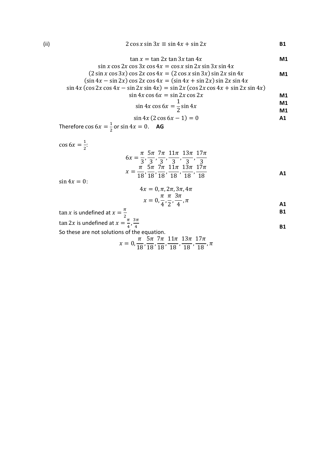(ii)  $2 \cos x \sin 3x \equiv \sin 4x + \sin 2x$  **B1** 

$$
\tan x = \tan 2x \tan 3x \tan 4x \qquad \qquad \textbf{M1}
$$

$$
\sin x \cos 2x \cos 3x \cos 4x = \cos x \sin 2x \sin 3x \sin 4x
$$
  
(2 sin x cos 3x) cos 2x cos 4x = (2 cos x sin 3x) sin 2x sin 4x  
(sin 4x - sin 2x) cos 2x cos 4x = (sin 4x + sin 2x) sin 2x sin 4x  

sin 4x (cos 2x cos 4x – sin 2x sin 4x) = sin 2x (cos 2x cos 4x + sin 2x sin 4x)

$$
\sin 4x \cos 6x = \sin 2x \cos 2x \qquad \qquad \textbf{M1}
$$

$$
\sin 4x \cos 6x = \frac{1}{2} \sin 4x
$$

$$
\tan 4x \cos 6x = \frac{1}{2} \sin 4x
$$

$$
\sin 4x (2 \cos 6x - 1) = 0
$$

Therefore  $\cos 6x = \frac{1}{2}$  or  $\sin 4x = 0$ . **AG** 

 $\cos 6x = \frac{1}{2}$ 

$$
6x = \frac{\pi}{3}, \frac{5\pi}{3}, \frac{7\pi}{3}, \frac{11\pi}{3}, \frac{13\pi}{3}, \frac{17\pi}{3}
$$

$$
x = \frac{\pi}{18}, \frac{5\pi}{18}, \frac{7\pi}{18}, \frac{11\pi}{18}, \frac{13\pi}{18}, \frac{17\pi}{18}
$$

 $\sin 4x = 0$ :

$$
4x = 0, \pi, 2\pi, 3\pi, 4\pi
$$
  

$$
x = 0, \frac{\pi}{4}, \frac{\pi}{2}, \frac{3\pi}{4}, \pi
$$

**B1**

tan x is undefined at 
$$
x = \frac{\pi}{2}
$$
  
\ntan 2x is undefined at  $x = \frac{\pi}{4}, \frac{3\pi}{4}$   
\nSo these are not solutions of the equation.  
\n $\pi = \frac{5\pi}{4}, \frac{7\pi}{4}, \frac{11\pi}{4}, \frac{12\pi}{4}$ 

$$
x = 0, \frac{\pi}{18}, \frac{5\pi}{18}, \frac{7\pi}{18}, \frac{11\pi}{18}, \frac{13\pi}{18}, \frac{17\pi}{18}, \pi
$$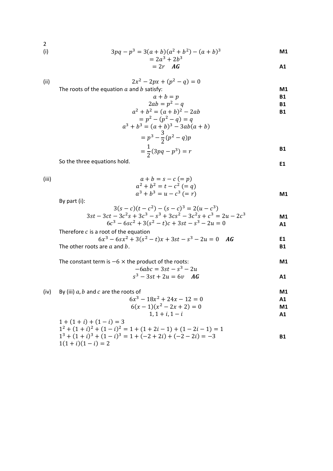(i)  $3pq - p^3 = 3(a + b)(a^2 + b^2) - (a + b)^3$  **M1** 

$$
=2a^3+2b^3
$$

$$
= 2r \quad \text{AG} \tag{A1}
$$

(ii) 
$$
2x^2 - 2px + (p^2 - q) = 0
$$
 The roots of the equation *a* and *b* satisfy:

The roots of the equation  $a$  and  $b$  satisfy:

$$
a + b = p \tag{B1}
$$

$$
2ab = p2 - q
$$
  
\n
$$
a2 + b2 = (a + b)2 - 2ab
$$
  
\nB1

$$
= p2 - (p2 - q) = q
$$
  
\n
$$
a3 + b3 = (a + b)3 - 3ab(a + b)
$$
  
\n
$$
= p3 - \frac{3}{2}(p2 - q)p
$$
  
\n
$$
= \frac{1}{2}(3pq - p3) = r
$$

So the three equations hold.

**E1**

(iii)  $a + b = s - c = p$ )  $a^2 + b^2 = t - c^2 (= q)$  $a^3 + b^3 = u - c^3$  (= r) **M1**

By part (i):

$$
3(s-c)(t-c2) - (s-c)3 = 2(u-c3)
$$
  
\n
$$
3st - 3ct - 3c2s + 3c3 - s3 + 3cs2 - 3c2s + c3 = 2u - 2c3
$$
  
\n
$$
6c3 - 6sc2 + 3(s2 - t)c + 3st - s3 - 2u = 0
$$

Therefore *c* is a root of the equation  
\n
$$
6x^3 - 6sx^2 + 3(s^2 - t)x + 3st - s^3 - 2u = 0
$$
 *AG*

The other roots are  $a$  and  $b$ . **B1** 

**M1**

The constant term is 
$$
-6 \times
$$
 the product of the roots:  
\n $-6abc = 3st - s^3 - 2u$ 

$$
s^3 - 3st + 2u = 6v \quad \text{AG}
$$

(iv) By (iii) *a*, *b* and *c* are the roots of  
\n
$$
6x^3 - 18x^2 + 24x - 12 = 0
$$
\n
$$
6(x - 1)(x^2 - 2x + 2) = 0
$$
\n**M1**

$$
1, 1 + i, 1 - i
$$

$$
1 + (1 + i) + (1 - i) = 3
$$
  
\n
$$
12 + (1 + i)2 + (1 - i)2 = 1 + (1 + 2i - 1) + (1 - 2i - 1) = 1
$$
  
\n
$$
13 + (1 + i)3 + (1 - i)3 = 1 + (-2 + 2i) + (-2 - 2i) = -3
$$
  
\n
$$
1(1 + i)(1 - i) = 2
$$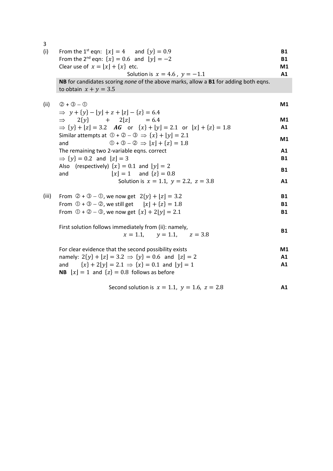| 3     |                                                                                                                           |                        |
|-------|---------------------------------------------------------------------------------------------------------------------------|------------------------|
| (i)   | From the 1 <sup>st</sup> eqn: $ x  = 4$ and $\{y\} = 0.9$<br>From the 2 <sup>nd</sup> eqn: $\{x\} = 0.6$ and $\{y\} = -2$ | <b>B1</b><br><b>B1</b> |
|       | Clear use of $x = [x] + \{x\}$ etc.                                                                                       | M1                     |
|       | Solution is $x = 4.6$ , $y = -1.1$                                                                                        | A1                     |
|       | NB for candidates scoring none of the above marks, allow a B1 for adding both eqns.<br>to obtain $x + y = 3.5$            |                        |
| (ii)  | $(2 + 3 - 0)$                                                                                                             | M1                     |
|       | $\Rightarrow$ y + {y} -  y  + z +  z  - {z} = 6.4                                                                         |                        |
|       | $\Rightarrow$ 2{y} + 2 z] = 6.4                                                                                           | M1                     |
|       | $\Rightarrow$ {y} + [z] = 3.2 AG or {x} + [y] = 2.1 or [x] + {z} = 1.8                                                    | A1                     |
|       | Similar attempts at $\mathbb{O} + \mathbb{O} - \mathbb{O} \Rightarrow \{x\} +  y  = 2.1$                                  | M1                     |
|       | $\mathbb{0} + \mathbb{0} - \mathbb{0} \Rightarrow  x  + \{z\} = 1.8$<br>and                                               |                        |
|       | The remaining two 2-variable eqns. correct                                                                                | A1                     |
|       | $\Rightarrow$ {y} = 0.2 and $[z] = 3$                                                                                     | <b>B1</b>              |
|       | Also (respectively) $\{x\} = 0.1$ and $\lfloor y \rfloor = 2$                                                             | <b>B1</b>              |
|       | $ x  = 1$ and $\{z\} = 0.8$<br>and                                                                                        |                        |
|       | Solution is $x = 1.1$ , $y = 2.2$ , $z = 3.8$                                                                             | A1                     |
| (iii) | From $\mathcal{Q} + \mathcal{Q} - \mathcal{Q}$ , we now get $2\{y\} +  z  = 3.2$                                          | <b>B1</b>              |
|       | From $\bigcirc$ + $\bigcirc$ – $\bigcirc$ , we still get $\bigl\lfloor x \bigr\rfloor + \{z\} = 1.8$                      | <b>B1</b>              |
|       | From $\mathbb{O} + \mathbb{O} - \mathbb{O}$ , we now get $\{x\} + 2 y  = 2.1$                                             | <b>B1</b>              |
|       | First solution follows immediately from (ii): namely,                                                                     |                        |
|       | $x = 1.1,$ $y = 1.1,$ $z = 3.8$                                                                                           | <b>B1</b>              |
|       | For clear evidence that the second possibility exists                                                                     | M1                     |
|       | namely: $2\{y\} + [z] = 3.2 \implies \{y\} = 0.6$ and $[z] = 2$                                                           | A1                     |
|       | and $\{x\} + 2 y  = 2.1 \implies \{x\} = 0.1$ and $ y  = 1$<br><b>NB</b> $[x] = 1$ and $\{z\} = 0.8$ follows as before    | A1                     |
|       | Second solution is $x = 1.1$ , $y = 1.6$ , $z = 2.8$                                                                      | A1                     |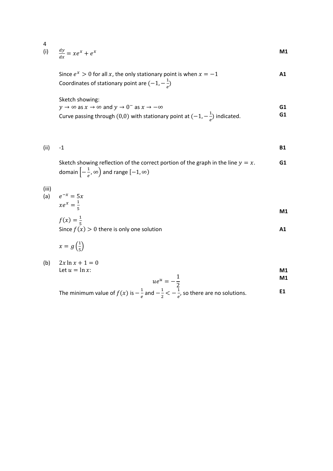$$
\frac{dy}{dx} = xe^{x} + e^{x}
$$

Since  $e^x > 0$  for all x, the only stationary point is when  $x = -1$ Coordinates of stationary point are  $(-1, -\frac{1}{e})$ **A1**

Sketch showing:

 $y \to \infty$  as  $x \to \infty$  and  $y \to 0^-$  as  $x \to -\infty$ Curve passing through (0,0) with stationary point at  $(-1, -\frac{1}{e})$  indicated. **G1 G1**

(ii) 
$$
-1
$$

Sketch showing reflection of the correct portion of the graph in the line  $y = x$ . domain  $\left[-\frac{1}{e}, \infty\right)$  and range  $\left[-1, \infty\right)$ **G1**

(iii)

$$
(a) \qquad e^{-x} = 5x
$$

 $xe^{x} = \frac{1}{5}$  $\mathsf{M1}$ 

$$
f(x) = \frac{1}{5}
$$
  
Since  $f(x) > 0$  there is only one solution

$$
x=g\left(\frac{1}{5}\right)
$$

(b)  $2x \ln x + 1 = 0$ Let  $u = \ln x$ :

$$
\mathbf{M1} \qquad \qquad \mathbf{M2}
$$

$$
ue^u = -\frac{1}{2}
$$

 $\frac{2}{1}$ The minimum value of  $f(x)$  is  $-\frac{1}{e}$  and  $-\frac{1}{2} < -\frac{1}{e}$ , so there are no solutions. **E1**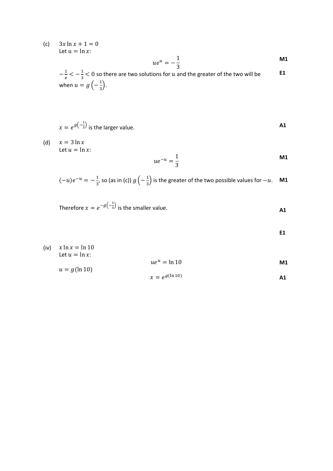(c)  $3x \ln x + 1 = 0$ Let  $u = \ln x$ :

$$
ue^u = -\frac{1}{3}
$$

 $-\frac{1}{e} < -\frac{1}{3} < 0$  so there are two solutions for u and the greater of the two will be when  $u = g\left(-\frac{1}{3}\right)$ . **E1**

$$
x = e^{g\left(-\frac{1}{3}\right)}
$$
 is the larger value.

(d)  $x = 3 \ln x$ Let  $u = \ln x$ :

$$
ue^{-u} = \frac{1}{3}
$$

$$
(-u)e^{-u} = -\frac{1}{3}
$$
, so (as in (c))  $g(-\frac{1}{3})$  is the greater of the two possible values for  $-u$ . **M1**

Therefore  $x = e^{-g\left(-\frac{1}{3}\right)}$  is the smaller value. **A1**

**E1**

| (iv) $x \ln x = \ln 10$<br>Let $u = \ln x$ : |                 |    |
|----------------------------------------------|-----------------|----|
|                                              | $ue^u = \ln 10$ | M1 |
| $u = g(\ln 10)$                              |                 |    |

$$
x = e^{g(\ln 10)} \tag{A1}
$$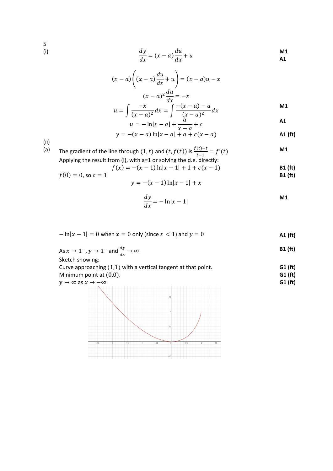5<br>(i)

(i) 
$$
\frac{dy}{dx} = (x - a)\frac{du}{dx} + u
$$

$$
(x-a)\left((x-a)\frac{du}{dx}+u\right)=(x-a)u-x
$$

$$
(x-a)^2\frac{du}{dx}=-x
$$

$$
u=\int \frac{-x}{(x-a)^2}dx=\int \frac{-(x-a)-a}{(x-a)^2}dx
$$

$$
\int \frac{1}{(x-a)^2} dx = \int \frac{(x-a)^2}{(x-a)^2} dx
$$
  
  $u = -\ln|x-a| + \frac{a}{x-a} + c$ 

**M1**

$$
y = -(x - a) \ln|x - a| + a + c(x - a)
$$

(ii)

(a) The gradient of the line through  $(1, t)$  and  $(t, f(t))$  is  $\frac{f(t)-t}{t-1} = f'(t)$  **M1** Applying the result from (i), with a=1 or solving the d.e. directly:

$$
f(x) = -(x-1)\ln|x-1| + 1 + c(x-1)
$$
  
\n**B1 (ft)**  
\n**B1 (ft)**

$$
y = -(x-1)\ln|x-1| + x
$$

$$
\frac{dy}{dx} = -\ln|x-1|
$$

$$
-\ln|x-1| = 0
$$
 when  $x = 0$  only (since  $x < 1$ ) and  $y = 0$  **A1 (ft)**

As 
$$
x \to 1^-
$$
,  $y \to 1^-$  and  $\frac{dy}{dx} \to \infty$ .  
**B1 (ft)**

Sketch showing:

Curve approaching (1,1) with a vertical tangent at that point. Minimum point at (0,0). **G1 (ft) G1 (ft)**

$$
y \to \infty \text{ as } x \to -\infty
$$

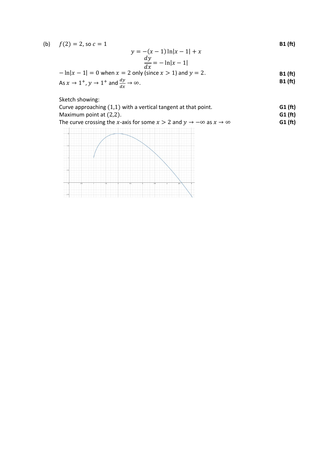| (b) $f(2) = 2$ , so $c = 1$ |                               | <b>B1</b> (ft) |
|-----------------------------|-------------------------------|----------------|
|                             | $y = -(x - 1) \ln x - 1  + x$ |                |

$$
\frac{dy}{dx} = -\ln|x-1|
$$

$$
-\ln|x-1| = 0
$$
 when  $x = 2$  only (since  $x > 1$ ) and  $y = 2$ .  
As  $x \to 1^+$ ,  $y \to 1^+$  and  $\frac{dy}{dx} \to \infty$ .  
B1 (ft)  
B1 (ft)

Sketch showing:

| Curve approaching $(1,1)$ with a vertical tangent at that point. | G1(f <sub>t</sub> ) |
|------------------------------------------------------------------|---------------------|
| Maximum point at $(2,2)$ .                                       | G1(ft)              |
|                                                                  |                     |

| The curve crossing the x-axis for some $x > 2$ and $y \to -\infty$ as $x \to \infty$ | G1(ft) |
|--------------------------------------------------------------------------------------|--------|
|--------------------------------------------------------------------------------------|--------|

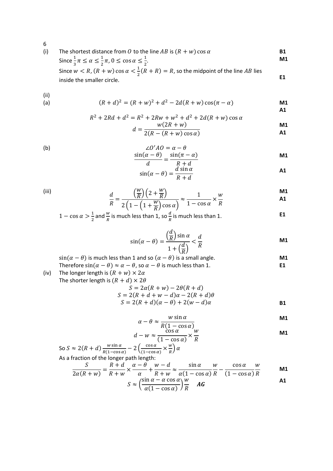(i) The shortest distance from *0* to the line *AB* is  $(R + w) \cos \alpha$  **B1**<br>Since  $\frac{1}{2}\pi < \alpha < \frac{1}{2}\pi$ ,  $0 < \cos \alpha < \frac{1}{2}$  **M1** Since  $\frac{1}{3}\pi \le \alpha \le \frac{1}{2}\pi$ ,  $0 \le \cos \alpha \le \frac{1}{2}$ . **M1**

Since  $w < R$ ,  $(R + w) \cos \alpha < \frac{1}{2}(R + R) = R$ , so the midpoint of the line AB lies inside the smaller circle. **E1** 

(ii)

(a) 
$$
(R+d)^2 = (R+w)^2 + d^2 - 2d(R+w)\cos(\pi-\alpha)
$$
 **M1**

$$
R^{2} + 2Rd + d^{2} = R^{2} + 2Rw + w^{2} + d^{2} + 2d(R + w) \cos \alpha
$$
\n
$$
w(2R + w)
$$
\n
$$
M1
$$

$$
d = \frac{w(2R + w)}{2(R - (R + w)\cos\alpha)}
$$

(b) 
$$
\frac{\angle O'AO = \alpha - \theta}{d} = \frac{\sin(\pi - \alpha)}{R + d}
$$

$$
\frac{d}{\sin(\alpha - \theta)} = \frac{\frac{R + d}{d \sin \alpha}}{R + d}
$$

(iii)  
\n
$$
\frac{d}{R} = \frac{\left(\frac{W}{R}\right)\left(2 + \frac{W}{R}\right)}{2\left(1 - \left(1 + \frac{W}{R}\right)\cos\alpha\right)} \approx \frac{1}{1 - \cos\alpha} \times \frac{W}{R}
$$

$$
\overline{R} = \frac{1}{2\left(1 - \left(1 + \frac{W}{R}\right)\cos\alpha\right)} \approx \frac{1 - \cos\alpha}{1 - \cos\alpha} \times \frac{W}{R}
$$

 $1 - \cos \alpha > \frac{1}{2}$  $\frac{1}{2}$  and  $\frac{w}{R}$  is much less than 1, so  $\frac{d}{R}$  is much less than 1.

$$
\sin(\alpha - \theta) = \frac{\left(\frac{d}{R}\right)\sin\alpha}{1 + \left(\frac{d}{R}\right)} < \frac{d}{R}
$$

 $sin(\alpha - \theta)$  is much less than 1 and so  $(\alpha - \theta)$  is a small angle. **M1**

Therefore  $sin(\alpha - \theta) \approx \alpha - \theta$ , so  $\alpha - \theta$  is much less than 1. **E1** (iv) The longer length is  $(R + w) \times 2\alpha$ 

The shorter length is  $(R + d) \times 2\theta$ 

$$
S = 2\alpha(R + w) - 2\theta(R + d)
$$
  
\n
$$
S = 2(R + d + w - d)\alpha - 2(R + d)\theta
$$
  
\n
$$
S = 2(R + d)(\alpha - \theta) + 2(w - d)\alpha
$$

$$
\alpha - \theta \approx \frac{w \sin \alpha}{P(1 - \cos \alpha)}
$$

$$
d - w \approx \frac{R(1 - \cos \alpha)}{(1 - \cos \alpha)} \times \frac{w}{R}
$$

So 
$$
S \approx 2(R + d) \frac{w \sin \alpha}{R(1 - \cos \alpha)} - 2 \left( \frac{\cos \alpha}{(1 - \cos \alpha)} \times \frac{w}{R} \right) \alpha
$$
  
As a fraction of the longer path length:

$$
\frac{S}{2\alpha(R+w)} = \frac{R+d}{R+w} \times \frac{\alpha-\theta}{\alpha} + \frac{w-d}{R+w} \approx \frac{\sin\alpha}{\alpha(1-\cos\alpha)} \frac{w}{R} - \frac{\cos\alpha}{(1-\cos\alpha)} \frac{w}{R}
$$
   
 
$$
S \approx \left(\frac{\sin\alpha - \alpha\cos\alpha}{\alpha(1-\cos\alpha)}\right) \frac{w}{R}
$$
   
 
$$
AG
$$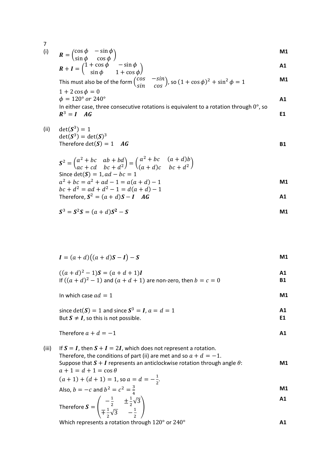(i) 
$$
R = \begin{pmatrix} \cos \phi & -\sin \phi \\ \sin \phi & \cos \phi \end{pmatrix}
$$
 M1

$$
R + I = \begin{pmatrix} 1 + \cos \phi & -\sin \phi \\ \sin \phi & 1 + \cos \phi \end{pmatrix}
$$

This must also be of the form 
$$
\begin{pmatrix} \cos & -\sin \\ \sin & \cos \end{pmatrix}
$$
, so  $(1 + \cos \phi)^2 + \sin^2 \phi = 1$ 

 $1 + 2 \cos \phi = 0$  $\phi = 120^{\circ}$  or  $240^{\circ}$  **A1** In either case, three consecutive rotations is equivalent to a rotation through  $0^\circ$ , so  $R^3 = I \quad AG$  E1

(ii) 
$$
\det(\mathbf{S}^3) = 1
$$

$$
\det(\mathbf{S}^3) = d
$$

$$
\det(\mathbf{S}^3) = \det(\mathbf{S})^3
$$
  
Therefore  $\det(\mathbf{S}) = 1$  ***AG B1***

$$
S^{2} = \begin{pmatrix} a^{2} + bc & ab + bd \\ ac + cd & bc + d^{2} \end{pmatrix} = \begin{pmatrix} a^{2} + bc & (a + d)b \\ (a + d)c & bc + d^{2} \end{pmatrix}
$$
  
Since det(S) = 1, ad - bc = 1  

$$
a^{2} + bc = a^{2} + ad - 1 = a(a + d) - 1
$$

$$
bc + d^{2} = ad + d^{2} - 1 = d(a + d) - 1
$$
  
Therefore, 
$$
S^{2} = (a + d)S - I \quad AG
$$

$$
S^3 = S^2S = (a+d)S^2 - S
$$

$$
I = (a+d)((a+d)S-I) - S
$$

$$
((a+d)^2 - 1)S = (a+d+1)I
$$
  
If  $((a+d)^2 - 1)$  and  $(a+d+1)$  are non-zero, then  $b = c = 0$ 

In which case 
$$
ad = 1
$$
 **M1**

since 
$$
det(S) = 1
$$
 and since  $S^3 = I$ ,  $a = d = 1$    
But  $S \neq I$ , so this is not possible.

Therefore 
$$
a + d = -1
$$
 **A1**

(iii) If  $S = I$ , then  $S + I = 2I$ , which does not represent a rotation. Therefore, the conditions of part (ii) are met and so  $a + d = -1$ . Suppose that  $S + I$  represents an anticlockwise rotation through angle  $\theta$ :  $a + 1 = d + 1 = \cos \theta$ **M1**  $(a + 1) + (d + 1) = 1$ , so  $a = d = -\frac{1}{2}$ . Also,  $b = -c$  and  $b^2 = c^2 = \frac{3}{4}$ **M1** Therefore  $S = \begin{pmatrix} -\frac{1}{2} & \pm \frac{1}{2}\sqrt{3} \\ -\frac{1}{2} & \frac{1}{2} \end{pmatrix}$  $\mp \frac{1}{2}\sqrt{3}$   $-\frac{1}{2}$ � **A1**

Which represents a rotation through 120° or 240° **A1**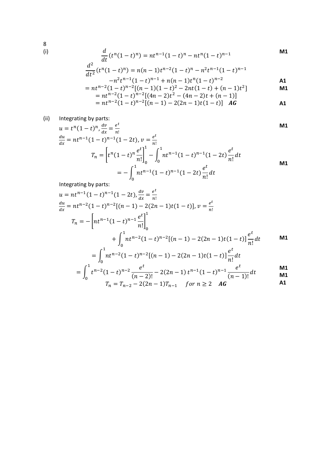8 (i)

$$
\frac{d}{dt}(t^n(1-t)^n) = nt^{n-1}(1-t)^n - nt^n(1-t)^{n-1}
$$
\n
$$
\frac{d^2}{dt^2}(t^n(1-t)^n) = n(n-1)t^{n-2}(1-t)^n - n^2t^{n-1}(1-t)^{n-1}
$$
\n
$$
-n^2t^{n-1}(1-t)^{n-1} + n(n-1)t^n(1-t)^{n-2}
$$
\n
$$
= nt^{n-2}(1-t)^{n-2}[(n-1)(1-t)^2 - 2nt(1-t) + (n-1)t^2]
$$
\n
$$
\text{M1}
$$

$$
= nt^{n-2}(1-t)^{n-2}[(n-1)(1-t)^2 - 2nt(1-t) + (n-1)t^2]
$$
  
=  $nt^{n-2}(1-t)^{n-2}[(4n-2)t^2 - (4n-2)t + (n-1)]$   
=  $nt^{n-2}(1-t)^{n-2}[(n-1) - 2(2n-1)t(1-t)]$  **AG**

(ii) Integrating by parts:

$$
\mathbf{M} \mathbf{1}
$$

**A1**

$$
u = t^{n}(1-t)^{n}, \frac{dv}{dx} = \frac{e^{t}}{n!}
$$
\n
$$
\frac{du}{dx} = nt^{n-1}(1-t)^{n-1}(1-2t), v = \frac{e^{t}}{n!}
$$
\n
$$
T_{n} = \left[ t^{n}(1-t)^{n} \frac{e^{t}}{n!} \right]_{0}^{1} - \int_{0}^{1} nt^{n-1}(1-t)^{n-1}(1-2t) \frac{e^{t}}{n!} dt
$$
\n
$$
= -\int_{0}^{1} nt^{n-1}(1-t)^{n-1}(1-2t) \frac{e^{t}}{n!} dt
$$
\n
$$
\qquad \text{M1}
$$

Integrating by parts:

$$
u = nt^{n-1}(1-t)^{n-1}(1-2t), \frac{dv}{dx} = \frac{e^t}{n!}
$$
  
\n
$$
\frac{du}{dx} = nt^{n-2}(1-t)^{n-2}[(n-1)-2(2n-1)t(1-t)], v = \frac{e^t}{n!}
$$
  
\n
$$
T_n = -\left[nt^{n-1}(1-t)^{n-1}\frac{e^t}{n!}\right]_0^1
$$
  
\n
$$
+ \int_0^1 nt^{n-2}(1-t)^{n-2}[(n-1)-2(2n-1)t(1-t)]\frac{e^t}{n!}dt
$$
  
\n
$$
= \int_0^1 nt^{n-2}(1-t)^{n-2}[(n-1)-2(2n-1)t(1-t)]\frac{e^t}{n!}dt
$$

$$
= \int_0^1 t^{n-2} (1-t)^{n-2} \frac{e^t}{(n-2)!} - 2(2n-1) t^{n-1} (1-t)^{n-1} \frac{e^t}{(n-1)!} dt
$$

$$
T_n = T_{n-2} - 2(2n-1)T_{n-1} \quad \text{for } n \ge 2 \quad \text{AG}
$$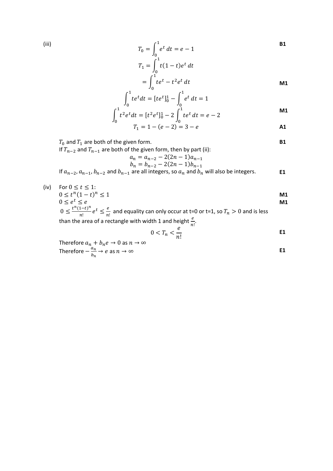(iii)  
\n
$$
T_0 = \int_0^1 e^t dt = e - 1
$$
\n
$$
T_1 = \int_0^1 t(1-t)e^t dt
$$

$$
=\int_0^1 t e^t - t^2 e^t dt
$$

$$
\int_0^1 te^t dt = [te^t]_0^1 - \int_0^1 e^t dt = 1
$$

$$
\int_0^1 t^2 e^t dt = [t^2 e^t]_0^1 - 2 \int_0^1 t e^t dt = e - 2
$$

$$
T_1 = 1 - (e - 2) = 3 - e
$$

$$
T_0 \text{ and } T_1 \text{ are both of the given form.} \qquad \qquad \blacksquare
$$

If  $T_{n-2}$  and  $T_{n-1}$  are both of the given form, then by part (ii):

$$
a_n = a_{n-2} - 2(2n - 1)a_{n-1}
$$
  

$$
b_n = b_{n-2} - 2(2n - 1)b_{n-1}
$$

If  $a_{n-2}, a_{n-1}, b_{n-2}$  and  $b_{n-1}$  are all integers, so  $a_n$  and  $b_n$  will also be integers. **E1** 

(iv) For  $0 \le t \le 1$ :  $0 \le t^n (1-t)^n \le 1$  $0 \leq e^t \leq e$ **M1 M1**

 $0 \leq \frac{t^n(1-t)^n}{n!}e^t \leq \frac{e}{n!}$  and equality can only occur at t=0 or t=1, so  $T_n > 0$  and is less than the area of a rectangle with width 1 and height  $\frac{e}{n!}$ .

$$
0 < T_n < \frac{e}{n!} \tag{E1}
$$

Therefore  $a_n + b_n e \to 0$  as  $n \to \infty$ Therefore  $-\frac{a_n}{b_n} \to e$  as  $n \to \infty$  **E1**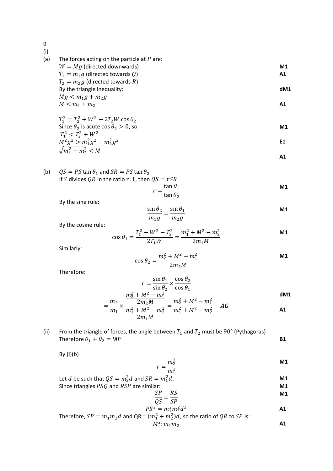(i) (a) The forces acting on the particle at  $P$  are:

$$
W = Mg \text{ (directed downwards)}T_1 = m_1 g \text{ (directed towards } Q)
$$

 $T_2 = m_2 g$  (directed towards R) By the triangle inequality: **dM1**

$$
Mg < m_1g + m_2g
$$
\n
$$
M < m_1 + m_2
$$
\n**A1**

$$
T_1^2 = T_2^2 + W^2 - 2T_2W\cos\theta_2
$$
  
Since  $\theta_2$  is acute  $\cos\theta_2 > 0$ , so

$$
T_1^2 < T_2^2 + W^2
$$
\n
$$
M^2 g^2 > m_1^2 g^2 - m_2^2 g^2
$$
\n
$$
\sqrt{m_1^2 - m_2^2} < M
$$
\nE1

$$
\mathsf{A1}
$$

(b) 
$$
QS = PS \tan \theta_1
$$
 and  $SR = PS \tan \theta_2$   
If *S* divides *QR* in the ratio *r*: 1, then  $QS = rSR$ 

$$
r = \frac{\tan \theta_1}{\tan \theta_2}
$$

By the sine rule:

$$
\frac{\sin \theta_2}{m_1 g} = \frac{\sin \theta_1}{m_2 g}
$$
 M1

By the cosine rule:

$$
\cos \theta_1 = \frac{T_1^2 + W^2 - T_2^2}{2T_1W} = \frac{m_1^2 + M^2 - m_2^2}{2m_1M}
$$

Similarly:

$$
\cos \theta_2 = \frac{m_2^2 + M^2 - m_1^2}{2m_2 M}
$$
 **M1**

Therefore:

$$
r = \frac{\sin \theta_1}{\sin \theta_2} \times \frac{\cos \theta_2}{\cos \theta_1}
$$
  

$$
M^2 - m_1^2
$$
 dM1

$$
= \frac{m_2}{m_1} \times \frac{\frac{m_2^2 + M^2 - m_1^2}{2m_2 M}}{\frac{m_1^2 + M^2 - m_2^2}{2m_1 M}} = \frac{m_2^2 + M^2 - m_1^2}{m_1^2 + M^2 - m_2^2}
$$
 **AG**

(ii) From the triangle of forces, the angle between  $T_1$  and  $T_2$  must be  $90^{\circ}$  (Pythagoras) Therefore  $\theta_1 + \theta_2 = 90^\circ$  **B1** 

By  $(i)(b)$ 

$$
r = \frac{m_2^2}{m_1^2}
$$
 101

Let *d* be such that 
$$
QS = m_2^2 d
$$
 and  $SR = m_1^2 d$ .  
Since triangles *PSQ* and *RSP* are similar: **M1**

$$
SP - RS
$$

$$
\frac{SP}{QS} = \frac{RS}{SP}
$$

$$
PS^{2} = m_{1}^{2}m_{2}^{2}d^{2}
$$
 **AB AB AB AB AB AB AB AB AB AB AB AB AB AB AB AB AB AB AB AB AB AB AB AB AB AB AB AB AB AB AB AB AB AB AB AB AB AB AB AB AB AB AB AB AB AB AB AB AB AB AB AB AB AB AB AB AB AB AB AB AB AB AB AB AB AB AB AB AB AB AB AB AB AB AB AB AB AB AB AB AB AB AB AB AB AB AB AB AB AB AB AB AB AB AB AB AB AB AB AB AB AB AB AB AB**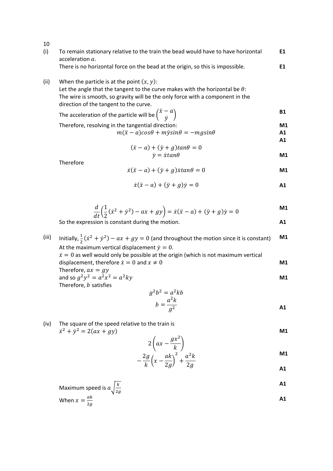| 10    |                                                                                                                                                                                                                                                                |                |
|-------|----------------------------------------------------------------------------------------------------------------------------------------------------------------------------------------------------------------------------------------------------------------|----------------|
| (i)   | To remain stationary relative to the train the bead would have to have horizontal<br>acceleration $a$ .                                                                                                                                                        | E1             |
|       | There is no horizontal force on the bead at the origin, so this is impossible.                                                                                                                                                                                 | E1             |
| (ii)  | When the particle is at the point $(x, y)$ :<br>Let the angle that the tangent to the curve makes with the horizontal be $\theta$ :<br>The wire is smooth, so gravity will be the only force with a component in the<br>direction of the tangent to the curve. |                |
|       | The acceleration of the particle will be $\begin{pmatrix} \ddot{x} - a \\ \ddot{v} \end{pmatrix}$                                                                                                                                                              | <b>B1</b>      |
|       | Therefore, resolving in the tangential direction:<br>$m(\ddot{x} - a)cos\theta + m\ddot{y}sin\theta = -mgsin\theta$                                                                                                                                            | M1<br>A1<br>A1 |
|       | $(\ddot{x} - a) + (\ddot{y} + g) \tan \theta = 0$                                                                                                                                                                                                              |                |
|       | $\dot{v} = \dot{x} \tan \theta$                                                                                                                                                                                                                                | M <sub>1</sub> |
|       | Therefore<br>$\dot{x}(\ddot{x}-a) + (\ddot{y}+g)\dot{x} \tan\theta = 0$                                                                                                                                                                                        | M1             |
|       | $\dot{x}(\ddot{x} - a) + (\ddot{v} + a)\dot{v} = 0$                                                                                                                                                                                                            | A1             |
|       | $\frac{d}{dt}\left(\frac{1}{2}(\dot{x}^2 + \dot{y}^2) - ax + gy\right) = \dot{x}(\ddot{x} - a) + (\ddot{y} + g)\dot{y} = 0$                                                                                                                                    | M <sub>1</sub> |
|       | So the expression is constant during the motion.                                                                                                                                                                                                               | A1             |
|       |                                                                                                                                                                                                                                                                | M1             |
| (iii) | Initially, $\frac{1}{2}(\dot{x}^2 + \dot{y}^2) - ax + gy = 0$ (and throughout the motion since it is constant)<br>At the maximum vertical displacement $\dot{y} = 0$ .                                                                                         |                |
|       | $\dot{x} = 0$ as well would only be possible at the origin (which is not maximum vertical<br>displacement, therefore $\dot{x} = 0$ and $x \neq 0$                                                                                                              | M1             |
|       | Therefore, $ax = gy$<br>and so $g^2y^2 = a^2x^2 = a^2ky$                                                                                                                                                                                                       | M1             |
|       | Therefore, b satisfies                                                                                                                                                                                                                                         |                |
|       | $g^2b^2 = a^2kb$                                                                                                                                                                                                                                               |                |
|       | $b = \frac{a^2k}{a^2}$                                                                                                                                                                                                                                         | A1             |
| (iv)  | The square of the speed relative to the train is<br>$\dot{x}^2 + \dot{y}^2 = 2(ax + gy)$                                                                                                                                                                       | M <sub>1</sub> |
|       | $2\left(ax-\frac{gx^2}{k}\right)$                                                                                                                                                                                                                              |                |
|       | $2g\int a k\lambda^2$ , $a^2k$                                                                                                                                                                                                                                 | M <sub>1</sub> |

$$
-\frac{2g}{k}\left(x-\frac{ak}{2g}\right)^{2}+\frac{a^{2}k}{2g}
$$

Maximum speed is 
$$
a \sqrt{\frac{k}{2g}}
$$
  
When  $x = \frac{ak}{2g}$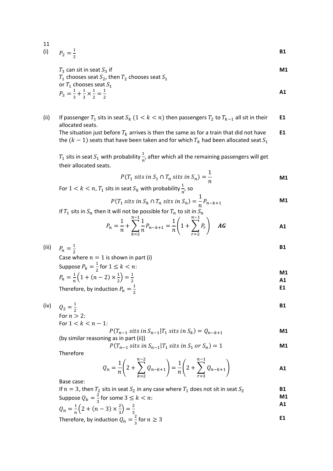11  
(i) 
$$
P_2 = \frac{1}{2}
$$

 $T_3$  can sit in seat  $S_3$  if  $T_1$  chooses seat  $S_2$ , then  $T_2$  chooses seat  $S_1$ or  $T_1$  chooses seat  $S_1$  $P_3 = \frac{1}{3} + \frac{1}{3} \times \frac{1}{2} = \frac{1}{2}$ 

(ii) If passenger  $T_1$  sits in seat  $S_k$   $(1 < k < n)$  then passengers  $T_2$  to  $T_{k-1}$  all sit in their allocated seats. **E1 E1**

The situation just before  $T_k$  arrives is then the same as for a train that did not have the  $(k-1)$  seats that have been taken and for which  $T_k$  had been allocated seat  $S_1$ 

 $T_1$  sits in seat  $S_1$  with probability  $\frac{1}{n'}$  after which all the remaining passengers will get their allocated seats.

$$
P(T_1 \text{ sits in } S_1 \cap T_n \text{ sits in } S_n) = \frac{1}{n}
$$

**B1**

**M1**

**A1**

For  $1 < k < n$ ,  $T_1$  sits in seat  $S_k$  with probability  $\frac{1}{n'}$ , so

$$
P(T_1 \text{ sits in } S_k \cap T_n \text{ sits in } S_n) = \frac{1}{n} P_{n-k+1}
$$

If  $T_1$  sits in  $S_n$  then it will not be possible for  $T_n$  to sit in  $S_n$ <br> $\frac{n-1}{1}$ 

$$
P_n = \frac{1}{n} + \sum_{k=2}^{n-1} \frac{1}{n} P_{n-k+1} = \frac{1}{n} \left( 1 + \sum_{r=2}^{n-1} P_r \right) \quad \text{AG}
$$

(iii) 
$$
P_n = \frac{1}{2}
$$

 $\frac{n}{2}$  Case where  $n = 1$  is shown in part (i) Suppose  $P_k = \frac{1}{2}$  for  $1 \leq k < n$ : **M1**

$$
P_n = \frac{1}{n} \left( 1 + (n-2) \times \frac{1}{2} \right) = \frac{1}{2}
$$

Therefore, by induction  $P_n = \frac{1}{2}$ **E1**

(iv)  $Q_2 = \frac{1}{2}$ **B1** For  $n > 2$ :

For 
$$
1 < k < n - 1
$$
:

 $P(T_{n-1}$  sits in  $S_{n-1}|T_1$  sits in  $S_k) = Q_{n-k+1}$ **M1**

(by similar reasoning as in part (ii))

$$
P(T_{n-1} \text{ sits in } S_{n-1} | T_1 \text{ sits in } S_1 \text{ or } S_n) = 1
$$

Therefore

$$
Q_n = \frac{1}{n} \left( 2 + \sum_{k=2}^{n-2} Q_{n-k+1} \right) = \frac{1}{n} \left( 2 + \sum_{r=3}^{n-1} Q_{n-k+1} \right)
$$

Base case:

If 
$$
n = 3
$$
, then  $T_2$  sits in seat  $S_2$  in any case where  $T_1$  does not sit in seat  $S_2$   
\nSuppose  $Q_k = \frac{2}{3}$  for some  $3 \le k < n$ :  
\n
$$
Q_k = \frac{1}{3}(2 + (n-3) \times \frac{2}{3}) - \frac{2}{3}
$$

$$
Q_n = \frac{1}{n} \left( 2 + (n-3) \times \frac{2}{3} \right) = \frac{2}{3}
$$

Therefore, by induction 
$$
Q_n = \frac{2}{3}
$$
 for  $n \ge 3$